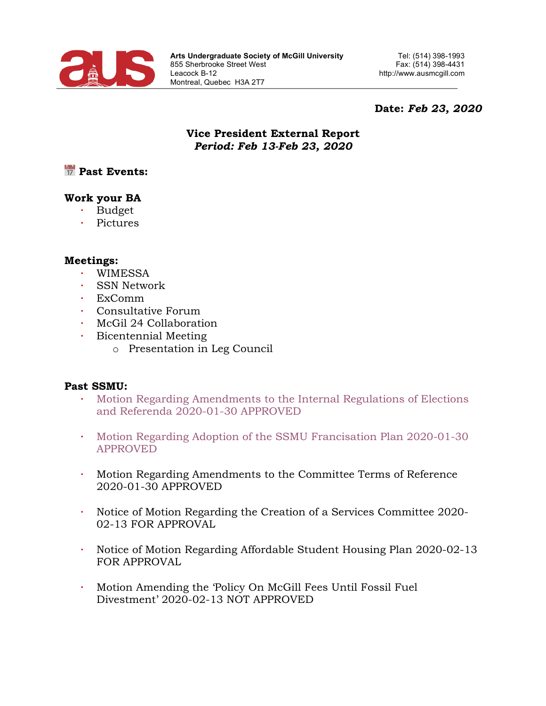

## **Date:** *Feb 23, 2020*

## **Vice President External Report** *Period: Feb 13-Feb 23, 2020*

# **Past Events:**

## **Work your BA**

- Budget
- Pictures

#### **Meetings:**

- WIMESSA
- SSN Network
- ExComm
- Consultative Forum
- McGil 24 Collaboration
- **Bicentennial Meeting** 
	- o Presentation in Leg Council

#### **Past SSMU:**

- Motion Regarding Amendments to the Internal Regulations of Elections and Referenda 2020-01-30 APPROVED
- Motion Regarding Adoption of the SSMU Francisation Plan 2020-01-30 APPROVED
- Motion Regarding Amendments to the Committee Terms of Reference 2020-01-30 APPROVED
- Notice of Motion Regarding the Creation of a Services Committee 2020- 02-13 FOR APPROVAL
- Notice of Motion Regarding Affordable Student Housing Plan 2020-02-13 FOR APPROVAL
- Motion Amending the 'Policy On McGill Fees Until Fossil Fuel Divestment' 2020-02-13 NOT APPROVED